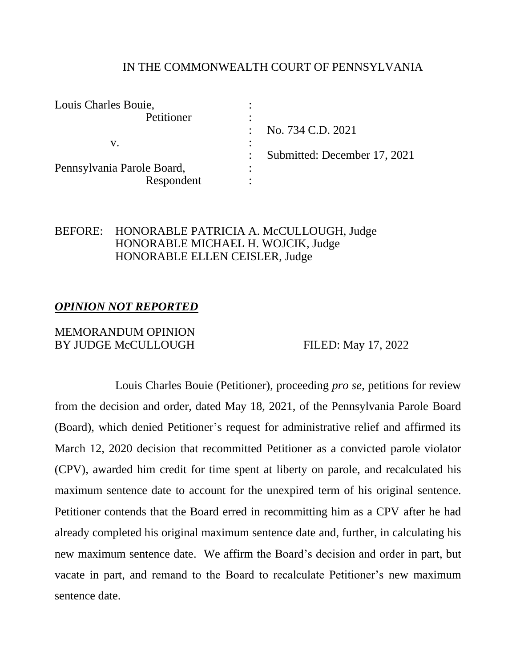### IN THE COMMONWEALTH COURT OF PENNSYLVANIA

| Louis Charles Bouie,       |                              |
|----------------------------|------------------------------|
| Petitioner                 |                              |
|                            | No. 734 C.D. 2021            |
| V.                         |                              |
|                            | Submitted: December 17, 2021 |
| Pennsylvania Parole Board, |                              |
| Respondent                 |                              |

## BEFORE: HONORABLE PATRICIA A. McCULLOUGH, Judge HONORABLE MICHAEL H. WOJCIK, Judge HONORABLE ELLEN CEISLER, Judge

## *OPINION NOT REPORTED*

#### MEMORANDUM OPINION BY JUDGE McCULLOUGH FILED: May 17, 2022

Louis Charles Bouie (Petitioner), proceeding *pro se*, petitions for review from the decision and order, dated May 18, 2021, of the Pennsylvania Parole Board (Board), which denied Petitioner's request for administrative relief and affirmed its March 12, 2020 decision that recommitted Petitioner as a convicted parole violator (CPV), awarded him credit for time spent at liberty on parole, and recalculated his maximum sentence date to account for the unexpired term of his original sentence. Petitioner contends that the Board erred in recommitting him as a CPV after he had already completed his original maximum sentence date and, further, in calculating his new maximum sentence date. We affirm the Board's decision and order in part, but vacate in part, and remand to the Board to recalculate Petitioner's new maximum sentence date.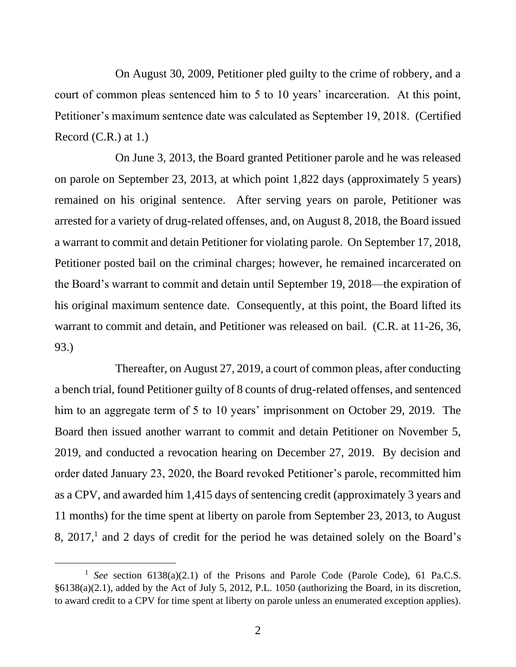On August 30, 2009, Petitioner pled guilty to the crime of robbery, and a court of common pleas sentenced him to 5 to 10 years' incarceration. At this point, Petitioner's maximum sentence date was calculated as September 19, 2018. (Certified Record (C.R.) at 1.)

On June 3, 2013, the Board granted Petitioner parole and he was released on parole on September 23, 2013, at which point 1,822 days (approximately 5 years) remained on his original sentence. After serving years on parole, Petitioner was arrested for a variety of drug-related offenses, and, on August 8, 2018, the Board issued a warrant to commit and detain Petitioner for violating parole. On September 17, 2018, Petitioner posted bail on the criminal charges; however, he remained incarcerated on the Board's warrant to commit and detain until September 19, 2018—the expiration of his original maximum sentence date. Consequently, at this point, the Board lifted its warrant to commit and detain, and Petitioner was released on bail. (C.R. at 11-26, 36, 93.)

Thereafter, on August 27, 2019, a court of common pleas, after conducting a bench trial, found Petitioner guilty of 8 counts of drug-related offenses, and sentenced him to an aggregate term of 5 to 10 years' imprisonment on October 29, 2019. The Board then issued another warrant to commit and detain Petitioner on November 5, 2019, and conducted a revocation hearing on December 27, 2019. By decision and order dated January 23, 2020, the Board revoked Petitioner's parole, recommitted him as a CPV, and awarded him 1,415 days of sentencing credit (approximately 3 years and 11 months) for the time spent at liberty on parole from September 23, 2013, to August  $8, 2017$ ,<sup>1</sup> and 2 days of credit for the period he was detained solely on the Board's

<sup>&</sup>lt;sup>1</sup> See section 6138(a)(2.1) of the Prisons and Parole Code (Parole Code), 61 Pa.C.S. §6138(a)(2.1), added by the Act of July 5, 2012, P.L. 1050 (authorizing the Board, in its discretion, to award credit to a CPV for time spent at liberty on parole unless an enumerated exception applies).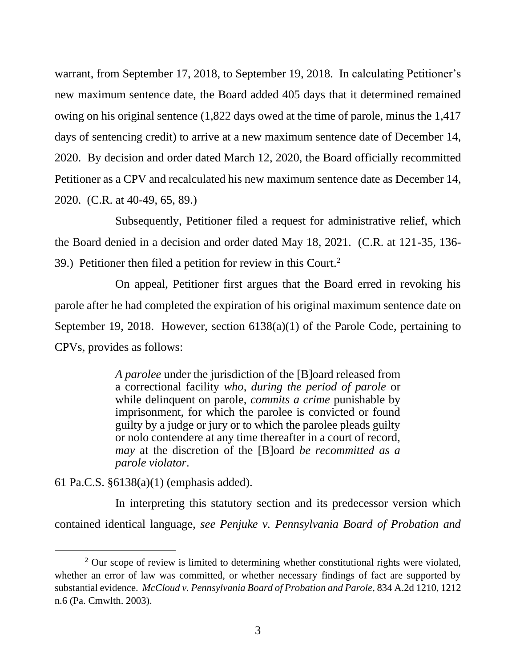warrant, from September 17, 2018, to September 19, 2018. In calculating Petitioner's new maximum sentence date, the Board added 405 days that it determined remained owing on his original sentence (1,822 days owed at the time of parole, minus the 1,417 days of sentencing credit) to arrive at a new maximum sentence date of December 14, 2020. By decision and order dated March 12, 2020, the Board officially recommitted Petitioner as a CPV and recalculated his new maximum sentence date as December 14, 2020. (C.R. at 40-49, 65, 89.)

Subsequently, Petitioner filed a request for administrative relief, which the Board denied in a decision and order dated May 18, 2021. (C.R. at 121-35, 136- 39.) Petitioner then filed a petition for review in this Court.<sup>2</sup>

On appeal, Petitioner first argues that the Board erred in revoking his parole after he had completed the expiration of his original maximum sentence date on September 19, 2018. However, section 6138(a)(1) of the Parole Code, pertaining to CPVs, provides as follows:

> *A parolee* under the jurisdiction of the [B]oard released from a correctional facility *who*, *during the period of parole* or while delinquent on parole, *commits a crime* punishable by imprisonment, for which the parolee is convicted or found guilty by a judge or jury or to which the parolee pleads guilty or nolo contendere at any time thereafter in a court of record, *may* at the discretion of the [B]oard *be recommitted as a parole violator*.

61 Pa.C.S. §6138(a)(1) (emphasis added).

In interpreting this statutory section and its predecessor version which contained identical language, *see Penjuke v. Pennsylvania Board of Probation and* 

 $2$  Our scope of review is limited to determining whether constitutional rights were violated, whether an error of law was committed, or whether necessary findings of fact are supported by substantial evidence. *McCloud v. Pennsylvania Board of Probation and Parole*, 834 A.2d 1210, 1212 n.6 (Pa. Cmwlth. 2003).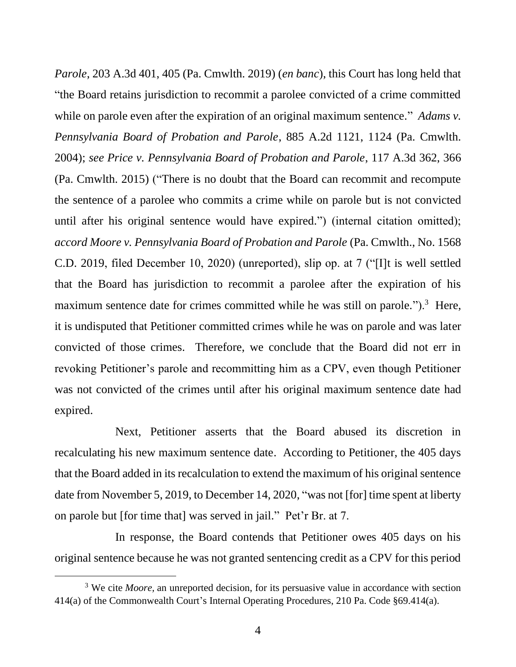*Parole*, 203 A.3d 401, 405 (Pa. Cmwlth. 2019) (*en banc*), this Court has long held that "the Board retains jurisdiction to recommit a parolee convicted of a crime committed while on parole even after the expiration of an original maximum sentence." *Adams v. Pennsylvania Board of Probation and Parole*, 885 A.2d 1121, 1124 (Pa. Cmwlth. 2004); *see Price v. Pennsylvania Board of Probation and Parole*, 117 A.3d 362, 366 (Pa. Cmwlth. 2015) ("There is no doubt that the Board can recommit and recompute the sentence of a parolee who commits a crime while on parole but is not convicted until after his original sentence would have expired.") (internal citation omitted); *accord Moore v. Pennsylvania Board of Probation and Parole* (Pa. Cmwlth., No. 1568 C.D. 2019, filed December 10, 2020) (unreported), slip op. at 7 ("[I]t is well settled that the Board has jurisdiction to recommit a parolee after the expiration of his maximum sentence date for crimes committed while he was still on parole." $)$ .<sup>3</sup> Here, it is undisputed that Petitioner committed crimes while he was on parole and was later convicted of those crimes. Therefore, we conclude that the Board did not err in revoking Petitioner's parole and recommitting him as a CPV, even though Petitioner was not convicted of the crimes until after his original maximum sentence date had expired.

Next, Petitioner asserts that the Board abused its discretion in recalculating his new maximum sentence date. According to Petitioner, the 405 days that the Board added in its recalculation to extend the maximum of his original sentence date from November 5, 2019, to December 14, 2020, "was not [for] time spent at liberty on parole but [for time that] was served in jail." Pet'r Br. at 7.

In response, the Board contends that Petitioner owes 405 days on his original sentence because he was not granted sentencing credit as a CPV for this period

<sup>&</sup>lt;sup>3</sup> We cite *Moore*, an unreported decision, for its persuasive value in accordance with section 414(a) of the Commonwealth Court's Internal Operating Procedures, 210 Pa. Code §69.414(a).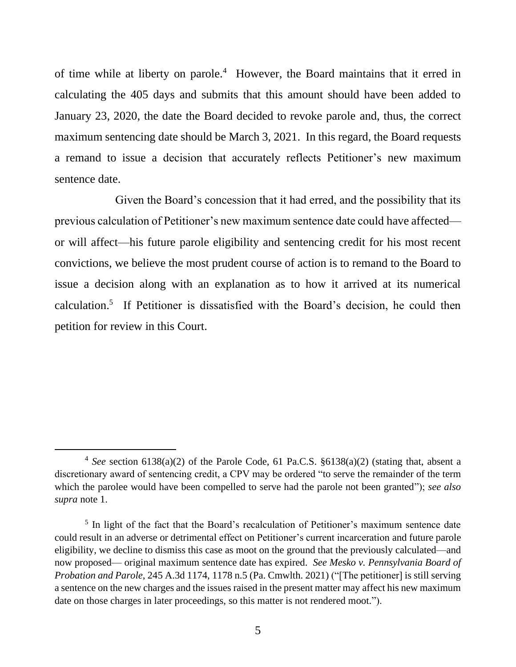of time while at liberty on parole.<sup>4</sup> However, the Board maintains that it erred in calculating the 405 days and submits that this amount should have been added to January 23, 2020, the date the Board decided to revoke parole and, thus, the correct maximum sentencing date should be March 3, 2021. In this regard, the Board requests a remand to issue a decision that accurately reflects Petitioner's new maximum sentence date.

Given the Board's concession that it had erred, and the possibility that its previous calculation of Petitioner's new maximum sentence date could have affected or will affect—his future parole eligibility and sentencing credit for his most recent convictions, we believe the most prudent course of action is to remand to the Board to issue a decision along with an explanation as to how it arrived at its numerical calculation. 5 If Petitioner is dissatisfied with the Board's decision, he could then petition for review in this Court.

<sup>4</sup> *See* section 6138(a)(2) of the Parole Code, 61 Pa.C.S. §6138(a)(2) (stating that, absent a discretionary award of sentencing credit, a CPV may be ordered "to serve the remainder of the term which the parolee would have been compelled to serve had the parole not been granted"); *see also supra* note 1.

<sup>&</sup>lt;sup>5</sup> In light of the fact that the Board's recalculation of Petitioner's maximum sentence date could result in an adverse or detrimental effect on Petitioner's current incarceration and future parole eligibility, we decline to dismiss this case as moot on the ground that the previously calculated—and now proposed— original maximum sentence date has expired. *See Mesko v. Pennsylvania Board of Probation and Parole*, 245 A.3d 1174, 1178 n.5 (Pa. Cmwlth. 2021) ("[The petitioner] is still serving a sentence on the new charges and the issues raised in the present matter may affect his new maximum date on those charges in later proceedings, so this matter is not rendered moot.").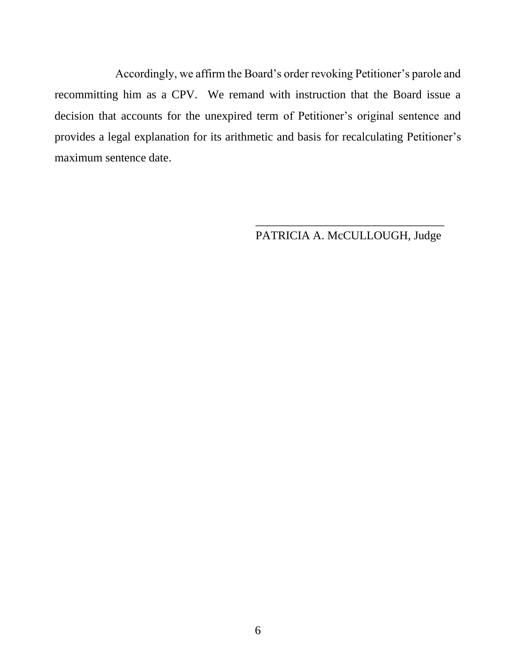Accordingly, we affirm the Board's order revoking Petitioner's parole and recommitting him as a CPV. We remand with instruction that the Board issue a decision that accounts for the unexpired term of Petitioner's original sentence and provides a legal explanation for its arithmetic and basis for recalculating Petitioner's maximum sentence date.

> \_\_\_\_\_\_\_\_\_\_\_\_\_\_\_\_\_\_\_\_\_\_\_\_\_\_\_\_\_\_\_\_ PATRICIA A. McCULLOUGH, Judge